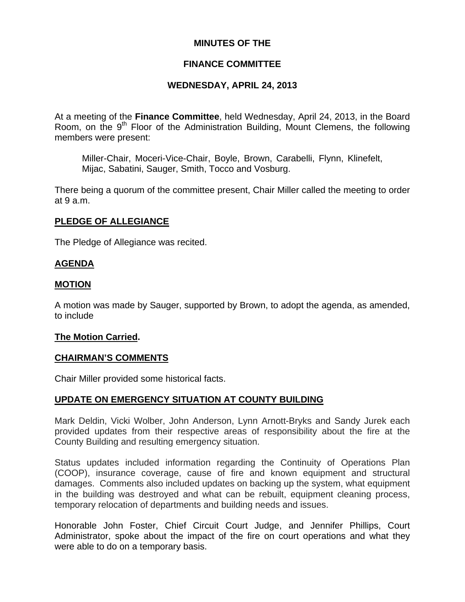## **MINUTES OF THE**

## **FINANCE COMMITTEE**

## **WEDNESDAY, APRIL 24, 2013**

At a meeting of the **Finance Committee**, held Wednesday, April 24, 2013, in the Board Room, on the  $9<sup>th</sup>$  Floor of the Administration Building, Mount Clemens, the following members were present:

Miller-Chair, Moceri-Vice-Chair, Boyle, Brown, Carabelli, Flynn, Klinefelt, Mijac, Sabatini, Sauger, Smith, Tocco and Vosburg.

There being a quorum of the committee present, Chair Miller called the meeting to order at 9 a.m.

## **PLEDGE OF ALLEGIANCE**

The Pledge of Allegiance was recited.

## **AGENDA**

## **MOTION**

A motion was made by Sauger, supported by Brown, to adopt the agenda, as amended, to include

## **The Motion Carried.**

## **CHAIRMAN'S COMMENTS**

Chair Miller provided some historical facts.

## **UPDATE ON EMERGENCY SITUATION AT COUNTY BUILDING**

Mark Deldin, Vicki Wolber, John Anderson, Lynn Arnott-Bryks and Sandy Jurek each provided updates from their respective areas of responsibility about the fire at the County Building and resulting emergency situation.

Status updates included information regarding the Continuity of Operations Plan (COOP), insurance coverage, cause of fire and known equipment and structural damages. Comments also included updates on backing up the system, what equipment in the building was destroyed and what can be rebuilt, equipment cleaning process, temporary relocation of departments and building needs and issues.

Honorable John Foster, Chief Circuit Court Judge, and Jennifer Phillips, Court Administrator, spoke about the impact of the fire on court operations and what they were able to do on a temporary basis.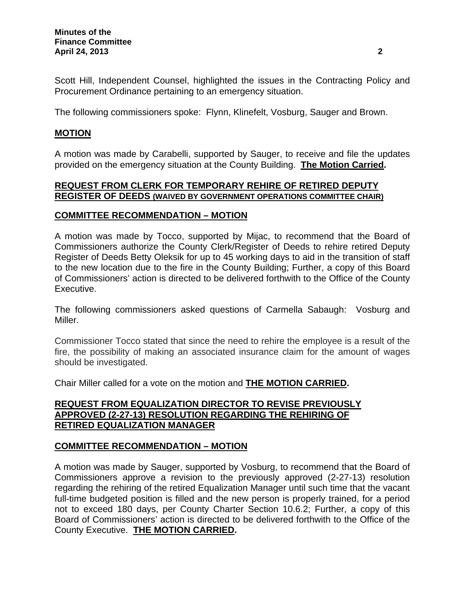Scott Hill, Independent Counsel, highlighted the issues in the Contracting Policy and Procurement Ordinance pertaining to an emergency situation.

The following commissioners spoke: Flynn, Klinefelt, Vosburg, Sauger and Brown.

## **MOTION**

A motion was made by Carabelli, supported by Sauger, to receive and file the updates provided on the emergency situation at the County Building. **The Motion Carried.** 

## **REQUEST FROM CLERK FOR TEMPORARY REHIRE OF RETIRED DEPUTY REGISTER OF DEEDS (WAIVED BY GOVERNMENT OPERATIONS COMMITTEE CHAIR)**

#### **COMMITTEE RECOMMENDATION – MOTION**

A motion was made by Tocco, supported by Mijac, to recommend that the Board of Commissioners authorize the County Clerk/Register of Deeds to rehire retired Deputy Register of Deeds Betty Oleksik for up to 45 working days to aid in the transition of staff to the new location due to the fire in the County Building; Further, a copy of this Board of Commissioners' action is directed to be delivered forthwith to the Office of the County Executive.

The following commissioners asked questions of Carmella Sabaugh: Vosburg and Miller.

Commissioner Tocco stated that since the need to rehire the employee is a result of the fire, the possibility of making an associated insurance claim for the amount of wages should be investigated.

Chair Miller called for a vote on the motion and **THE MOTION CARRIED.** 

## **REQUEST FROM EQUALIZATION DIRECTOR TO REVISE PREVIOUSLY APPROVED (2-27-13) RESOLUTION REGARDING THE REHIRING OF RETIRED EQUALIZATION MANAGER**

## **COMMITTEE RECOMMENDATION – MOTION**

A motion was made by Sauger, supported by Vosburg, to recommend that the Board of Commissioners approve a revision to the previously approved (2-27-13) resolution regarding the rehiring of the retired Equalization Manager until such time that the vacant full-time budgeted position is filled and the new person is properly trained, for a period not to exceed 180 days, per County Charter Section 10.6.2; Further, a copy of this Board of Commissioners' action is directed to be delivered forthwith to the Office of the County Executive. **THE MOTION CARRIED.**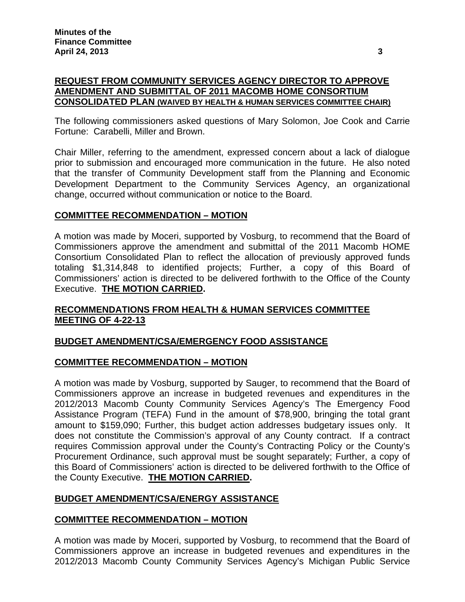## **REQUEST FROM COMMUNITY SERVICES AGENCY DIRECTOR TO APPROVE AMENDMENT AND SUBMITTAL OF 2011 MACOMB HOME CONSORTIUM CONSOLIDATED PLAN (WAIVED BY HEALTH & HUMAN SERVICES COMMITTEE CHAIR)**

The following commissioners asked questions of Mary Solomon, Joe Cook and Carrie Fortune: Carabelli, Miller and Brown.

Chair Miller, referring to the amendment, expressed concern about a lack of dialogue prior to submission and encouraged more communication in the future. He also noted that the transfer of Community Development staff from the Planning and Economic Development Department to the Community Services Agency, an organizational change, occurred without communication or notice to the Board.

## **COMMITTEE RECOMMENDATION – MOTION**

A motion was made by Moceri, supported by Vosburg, to recommend that the Board of Commissioners approve the amendment and submittal of the 2011 Macomb HOME Consortium Consolidated Plan to reflect the allocation of previously approved funds totaling \$1,314,848 to identified projects; Further, a copy of this Board of Commissioners' action is directed to be delivered forthwith to the Office of the County Executive. **THE MOTION CARRIED.** 

## **RECOMMENDATIONS FROM HEALTH & HUMAN SERVICES COMMITTEE MEETING OF 4-22-13**

## **BUDGET AMENDMENT/CSA/EMERGENCY FOOD ASSISTANCE**

## **COMMITTEE RECOMMENDATION – MOTION**

A motion was made by Vosburg, supported by Sauger, to recommend that the Board of Commissioners approve an increase in budgeted revenues and expenditures in the 2012/2013 Macomb County Community Services Agency's The Emergency Food Assistance Program (TEFA) Fund in the amount of \$78,900, bringing the total grant amount to \$159,090; Further, this budget action addresses budgetary issues only. It does not constitute the Commission's approval of any County contract. If a contract requires Commission approval under the County's Contracting Policy or the County's Procurement Ordinance, such approval must be sought separately; Further, a copy of this Board of Commissioners' action is directed to be delivered forthwith to the Office of the County Executive. **THE MOTION CARRIED.** 

## **BUDGET AMENDMENT/CSA/ENERGY ASSISTANCE**

## **COMMITTEE RECOMMENDATION – MOTION**

A motion was made by Moceri, supported by Vosburg, to recommend that the Board of Commissioners approve an increase in budgeted revenues and expenditures in the 2012/2013 Macomb County Community Services Agency's Michigan Public Service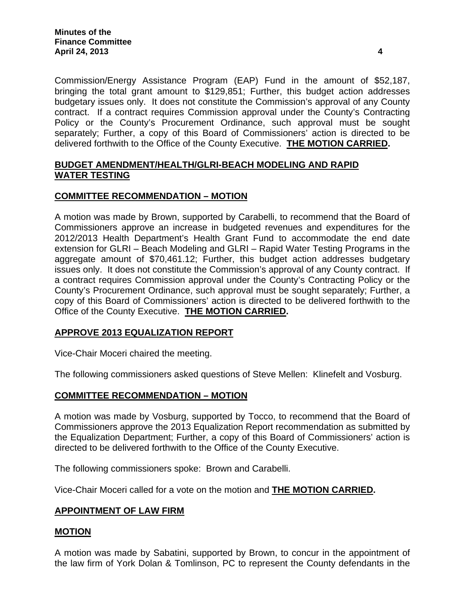Commission/Energy Assistance Program (EAP) Fund in the amount of \$52,187, bringing the total grant amount to \$129,851; Further, this budget action addresses budgetary issues only. It does not constitute the Commission's approval of any County contract. If a contract requires Commission approval under the County's Contracting Policy or the County's Procurement Ordinance, such approval must be sought separately; Further, a copy of this Board of Commissioners' action is directed to be delivered forthwith to the Office of the County Executive. **THE MOTION CARRIED.** 

## **BUDGET AMENDMENT/HEALTH/GLRI-BEACH MODELING AND RAPID WATER TESTING**

## **COMMITTEE RECOMMENDATION – MOTION**

A motion was made by Brown, supported by Carabelli, to recommend that the Board of Commissioners approve an increase in budgeted revenues and expenditures for the 2012/2013 Health Department's Health Grant Fund to accommodate the end date extension for GLRI – Beach Modeling and GLRI – Rapid Water Testing Programs in the aggregate amount of \$70,461.12; Further, this budget action addresses budgetary issues only. It does not constitute the Commission's approval of any County contract. If a contract requires Commission approval under the County's Contracting Policy or the County's Procurement Ordinance, such approval must be sought separately; Further, a copy of this Board of Commissioners' action is directed to be delivered forthwith to the Office of the County Executive. **THE MOTION CARRIED.** 

## **APPROVE 2013 EQUALIZATION REPORT**

Vice-Chair Moceri chaired the meeting.

The following commissioners asked questions of Steve Mellen: Klinefelt and Vosburg.

## **COMMITTEE RECOMMENDATION – MOTION**

A motion was made by Vosburg, supported by Tocco, to recommend that the Board of Commissioners approve the 2013 Equalization Report recommendation as submitted by the Equalization Department; Further, a copy of this Board of Commissioners' action is directed to be delivered forthwith to the Office of the County Executive.

The following commissioners spoke: Brown and Carabelli.

Vice-Chair Moceri called for a vote on the motion and **THE MOTION CARRIED.** 

## **APPOINTMENT OF LAW FIRM**

#### **MOTION**

A motion was made by Sabatini, supported by Brown, to concur in the appointment of the law firm of York Dolan & Tomlinson, PC to represent the County defendants in the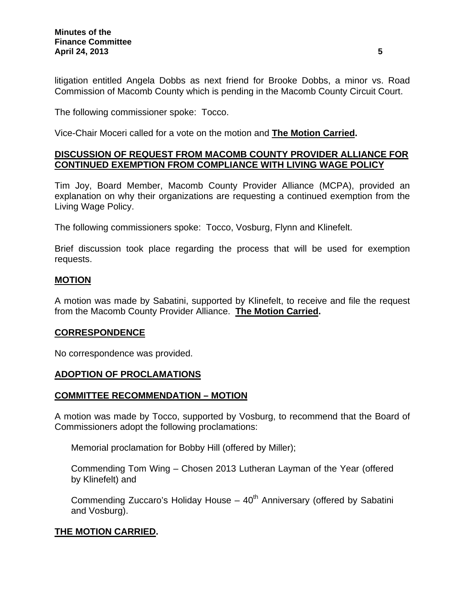litigation entitled Angela Dobbs as next friend for Brooke Dobbs, a minor vs. Road Commission of Macomb County which is pending in the Macomb County Circuit Court.

The following commissioner spoke: Tocco.

Vice-Chair Moceri called for a vote on the motion and **The Motion Carried.** 

#### **DISCUSSION OF REQUEST FROM MACOMB COUNTY PROVIDER ALLIANCE FOR CONTINUED EXEMPTION FROM COMPLIANCE WITH LIVING WAGE POLICY**

Tim Joy, Board Member, Macomb County Provider Alliance (MCPA), provided an explanation on why their organizations are requesting a continued exemption from the Living Wage Policy.

The following commissioners spoke: Tocco, Vosburg, Flynn and Klinefelt.

Brief discussion took place regarding the process that will be used for exemption requests.

#### **MOTION**

A motion was made by Sabatini, supported by Klinefelt, to receive and file the request from the Macomb County Provider Alliance. **The Motion Carried.** 

#### **CORRESPONDENCE**

No correspondence was provided.

#### **ADOPTION OF PROCLAMATIONS**

#### **COMMITTEE RECOMMENDATION – MOTION**

A motion was made by Tocco, supported by Vosburg, to recommend that the Board of Commissioners adopt the following proclamations:

Memorial proclamation for Bobby Hill (offered by Miller);

Commending Tom Wing – Chosen 2013 Lutheran Layman of the Year (offered by Klinefelt) and

Commending Zuccaro's Holiday House  $-40<sup>th</sup>$  Anniversary (offered by Sabatini and Vosburg).

## **THE MOTION CARRIED.**